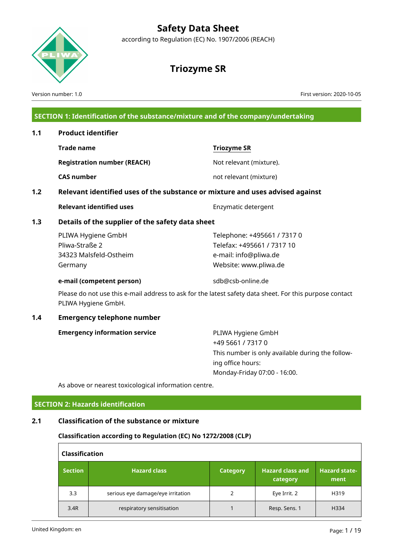

according to Regulation (EC) No. 1907/2006 (REACH)

# **Triozyme SR**

Version number: 1.0 First version: 2020-10-05

## **SECTION 1: Identification of the substance/mixture and of the company/undertaking**

| 1.1              |                                                                                                                                |                                                                                                             |  |  |  |  |
|------------------|--------------------------------------------------------------------------------------------------------------------------------|-------------------------------------------------------------------------------------------------------------|--|--|--|--|
|                  | <b>Trade name</b>                                                                                                              | <b>Triozyme SR</b>                                                                                          |  |  |  |  |
|                  | <b>Registration number (REACH)</b>                                                                                             | Not relevant (mixture).                                                                                     |  |  |  |  |
|                  | <b>CAS number</b>                                                                                                              | not relevant (mixture)                                                                                      |  |  |  |  |
| 1.2 <sub>2</sub> | Relevant identified uses of the substance or mixture and uses advised against                                                  |                                                                                                             |  |  |  |  |
|                  | <b>Relevant identified uses</b>                                                                                                | Enzymatic detergent                                                                                         |  |  |  |  |
| 1.3              | Details of the supplier of the safety data sheet                                                                               |                                                                                                             |  |  |  |  |
|                  | PLIWA Hygiene GmbH<br>Pliwa-Straße 2<br>34323 Malsfeld-Ostheim<br>Germany                                                      | Telephone: +495661 / 7317 0<br>Telefax: +495661 / 7317 10<br>e-mail: info@pliwa.de<br>Website: www.pliwa.de |  |  |  |  |
|                  | e-mail (competent person)                                                                                                      | sdb@csb-online.de                                                                                           |  |  |  |  |
|                  | Please do not use this e-mail address to ask for the latest safety data sheet. For this purpose contact<br>PLIWA Hygiene GmbH. |                                                                                                             |  |  |  |  |
| 1.4              | <b>Emergency telephone number</b>                                                                                              |                                                                                                             |  |  |  |  |
|                  | <b>Emergency information service</b>                                                                                           | PLIWA Hygiene GmbH<br>+49 5661 / 7317 0<br>This number is only available during the follow-                 |  |  |  |  |

ing office hours: Monday-Friday 07:00 - 16:00.

As above or nearest toxicological information centre.

## **SECTION 2: Hazards identification**

## **2.1 Classification of the substance or mixture**

#### **Classification according to Regulation (EC) No 1272/2008 (CLP)**

| <b>Classification</b> |                                   |                 |                                     |                              |  |  |  |  |
|-----------------------|-----------------------------------|-----------------|-------------------------------------|------------------------------|--|--|--|--|
| <b>Section</b>        | <b>Hazard class</b>               | <b>Category</b> | <b>Hazard class and</b><br>category | <b>Hazard state-</b><br>ment |  |  |  |  |
| 3.3                   | serious eye damage/eye irritation |                 | Eye Irrit. 2                        | H319                         |  |  |  |  |
| 3.4R                  | respiratory sensitisation         |                 | Resp. Sens. 1                       | H334                         |  |  |  |  |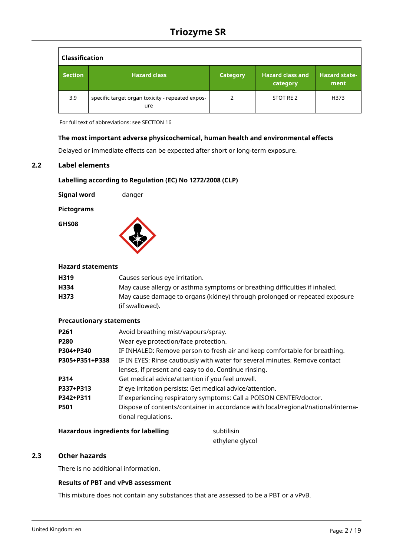| <b>Classification</b> |                                                         |                 |                                     |                              |  |  |  |  |
|-----------------------|---------------------------------------------------------|-----------------|-------------------------------------|------------------------------|--|--|--|--|
| <b>Section</b>        | <b>Hazard class</b>                                     | <b>Category</b> | <b>Hazard class and</b><br>category | <b>Hazard state-</b><br>ment |  |  |  |  |
| 3.9                   | specific target organ toxicity - repeated expos-<br>ure | 2               | STOT RE 2                           | H373                         |  |  |  |  |

For full text of abbreviations: see SECTION 16

## **The most important adverse physicochemical, human health and environmental effects**

Delayed or immediate effects can be expected after short or long-term exposure.

## **2.2 Label elements**

## **Labelling according to Regulation (EC) No 1272/2008 (CLP)**

| <b>Signal word</b> | danger |
|--------------------|--------|
|                    |        |

## **Pictograms**

**GHS08**



## **Hazard statements**

| H319 | Causes serious eye irritation.                                             |
|------|----------------------------------------------------------------------------|
| H334 | May cause allergy or asthma symptoms or breathing difficulties if inhaled. |
| H373 | May cause damage to organs (kidney) through prolonged or repeated exposure |
|      | (if swallowed).                                                            |

## **Precautionary statements**

| P261           | Avoid breathing mist/vapours/spray.                                               |
|----------------|-----------------------------------------------------------------------------------|
| P280           | Wear eye protection/face protection.                                              |
| P304+P340      | IF INHALED: Remove person to fresh air and keep comfortable for breathing.        |
| P305+P351+P338 | IF IN EYES: Rinse cautiously with water for several minutes. Remove contact       |
|                | lenses, if present and easy to do. Continue rinsing.                              |
| P314           | Get medical advice/attention if you feel unwell.                                  |
| P337+P313      | If eye irritation persists: Get medical advice/attention.                         |
| P342+P311      | If experiencing respiratory symptoms: Call a POISON CENTER/doctor.                |
| P501           | Dispose of contents/container in accordance with local/regional/national/interna- |
|                | tional regulations.                                                               |
|                |                                                                                   |

#### **Hazardous ingredients for labelling** subtilisin

ethylene glycol

## **2.3 Other hazards**

There is no additional information.

## **Results of PBT and vPvB assessment**

This mixture does not contain any substances that are assessed to be a PBT or a vPvB.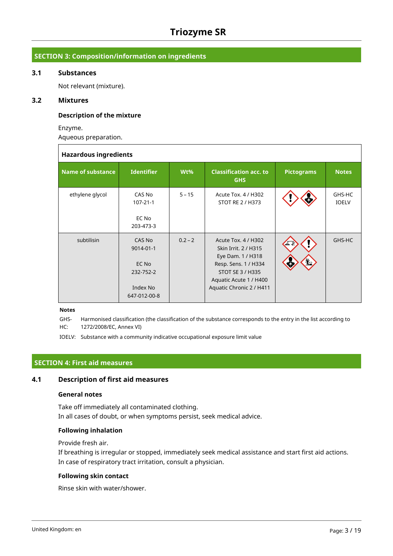## **SECTION 3: Composition/information on ingredients**

## **3.1 Substances**

Not relevant (mixture).

## **3.2 Mixtures**

 $\Gamma$ 

## **Description of the mixture**

Enzyme.

Aqueous preparation.

| <b>Hazardous ingredients</b> |                                                                       |           |                                                                                                                                                                    |                   |                        |  |  |  |
|------------------------------|-----------------------------------------------------------------------|-----------|--------------------------------------------------------------------------------------------------------------------------------------------------------------------|-------------------|------------------------|--|--|--|
| <b>Name of substance</b>     | <b>Identifier</b>                                                     | Wt%       | <b>Classification acc. to</b><br><b>GHS</b>                                                                                                                        | <b>Pictograms</b> | <b>Notes</b>           |  |  |  |
| ethylene glycol              | CAS No<br>$107 - 21 - 1$<br>EC No<br>203-473-3                        | $5 - 15$  | Acute Tox. 4 / H302<br>STOT RE 2 / H373                                                                                                                            |                   | GHS-HC<br><b>IOELV</b> |  |  |  |
| subtilisin                   | CAS No<br>9014-01-1<br>EC No<br>232-752-2<br>Index No<br>647-012-00-8 | $0.2 - 2$ | Acute Tox. 4 / H302<br>Skin Irrit, 2 / H315<br>Eye Dam. 1 / H318<br>Resp. Sens. 1 / H334<br>STOT SE 3 / H335<br>Aquatic Acute 1 / H400<br>Aquatic Chronic 2 / H411 | $\mathbf{E}$      | GHS-HC                 |  |  |  |

#### **Notes**

GHS-HC: Harmonised classification (the classification of the substance corresponds to the entry in the list according to 1272/2008/EC, Annex VI)

IOELV: Substance with a community indicative occupational exposure limit value

## **SECTION 4: First aid measures**

## **4.1 Description of first aid measures**

## **General notes**

Take off immediately all contaminated clothing. In all cases of doubt, or when symptoms persist, seek medical advice.

## **Following inhalation**

Provide fresh air.

If breathing is irregular or stopped, immediately seek medical assistance and start first aid actions. In case of respiratory tract irritation, consult a physician.

## **Following skin contact**

Rinse skin with water/shower.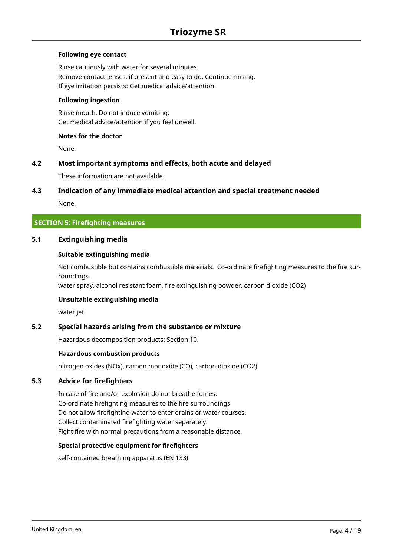## **Following eye contact**

Rinse cautiously with water for several minutes. Remove contact lenses, if present and easy to do. Continue rinsing. If eye irritation persists: Get medical advice/attention.

## **Following ingestion**

Rinse mouth. Do not induce vomiting. Get medical advice/attention if you feel unwell.

## **Notes for the doctor**

None.

## **4.2 Most important symptoms and effects, both acute and delayed**

These information are not available.

## **4.3 Indication of any immediate medical attention and special treatment needed**

None.

## **SECTION 5: Firefighting measures**

## **5.1 Extinguishing media**

## **Suitable extinguishing media**

Not combustible but contains combustible materials. Co-ordinate firefighting measures to the fire surroundings.

water spray, alcohol resistant foam, fire extinguishing powder, carbon dioxide (CO2)

## **Unsuitable extinguishing media**

water jet

## **5.2 Special hazards arising from the substance or mixture**

Hazardous decomposition products: Section 10.

## **Hazardous combustion products**

nitrogen oxides (NOx), carbon monoxide (CO), carbon dioxide (CO2)

## **5.3 Advice for firefighters**

In case of fire and/or explosion do not breathe fumes. Co-ordinate firefighting measures to the fire surroundings. Do not allow firefighting water to enter drains or water courses. Collect contaminated firefighting water separately. Fight fire with normal precautions from a reasonable distance.

## **Special protective equipment for firefighters**

self-contained breathing apparatus (EN 133)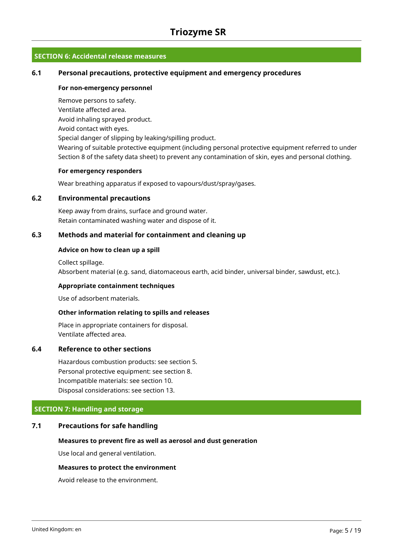## **SECTION 6: Accidental release measures**

## **6.1 Personal precautions, protective equipment and emergency procedures**

#### **For non-emergency personnel**

Remove persons to safety. Ventilate affected area. Avoid inhaling sprayed product. Avoid contact with eyes. Special danger of slipping by leaking/spilling product. Wearing of suitable protective equipment (including personal protective equipment referred to under Section 8 of the safety data sheet) to prevent any contamination of skin, eyes and personal clothing.

#### **For emergency responders**

Wear breathing apparatus if exposed to vapours/dust/spray/gases.

#### **6.2 Environmental precautions**

Keep away from drains, surface and ground water. Retain contaminated washing water and dispose of it.

## **6.3 Methods and material for containment and cleaning up**

#### **Advice on how to clean up a spill**

Collect spillage.

Absorbent material (e.g. sand, diatomaceous earth, acid binder, universal binder, sawdust, etc.).

#### **Appropriate containment techniques**

Use of adsorbent materials.

#### **Other information relating to spills and releases**

Place in appropriate containers for disposal. Ventilate affected area.

## **6.4 Reference to other sections**

Hazardous combustion products: see section 5. Personal protective equipment: see section 8. Incompatible materials: see section 10. Disposal considerations: see section 13.

## **SECTION 7: Handling and storage**

## **7.1 Precautions for safe handling**

#### **Measures to prevent fire as well as aerosol and dust generation**

Use local and general ventilation.

## **Measures to protect the environment**

Avoid release to the environment.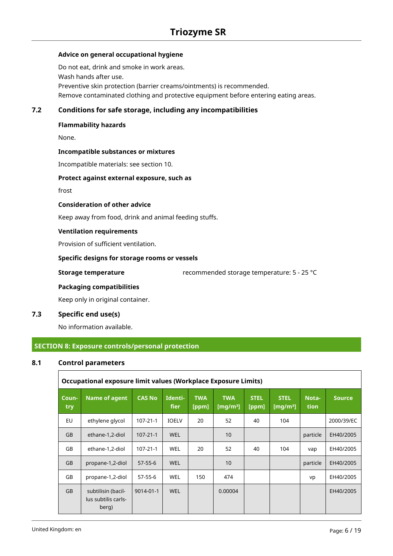## **Advice on general occupational hygiene**

Do not eat, drink and smoke in work areas. Wash hands after use. Preventive skin protection (barrier creams/ointments) is recommended. Remove contaminated clothing and protective equipment before entering eating areas.

## **7.2 Conditions for safe storage, including any incompatibilities**

## **Flammability hazards**

None.

#### **Incompatible substances or mixtures**

Incompatible materials: see section 10.

#### **Protect against external exposure, such as**

frost

#### **Consideration of other advice**

Keep away from food, drink and animal feeding stuffs.

#### **Ventilation requirements**

Provision of sufficient ventilation.

## **Specific designs for storage rooms or vessels**

**Storage temperature** recommended storage temperature: 5 - 25 °C

#### **Packaging compatibilities**

Keep only in original container.

## **7.3 Specific end use(s)**

No information available.

## **SECTION 8: Exposure controls/personal protection**

## **8.1 Control parameters**

 $\overline{1}$ 

|              | Occupational exposure limit values (Workplace Exposure Limits) |                |                        |                     |                           |                      |                                     |                |               |
|--------------|----------------------------------------------------------------|----------------|------------------------|---------------------|---------------------------|----------------------|-------------------------------------|----------------|---------------|
| Coun-<br>try | <b>Name of agent</b>                                           | <b>CAS No</b>  | Identi-<br><b>fier</b> | <b>TWA</b><br>[ppm] | <b>TWA</b><br>[ $mg/m3$ ] | <b>STEL</b><br>[ppm] | <b>STEL</b><br>[mg/m <sup>3</sup> ] | Nota-<br>tion. | <b>Source</b> |
| <b>EU</b>    | ethylene glycol                                                | $107 - 21 - 1$ | <b>IOELV</b>           | 20                  | 52                        | 40                   | 104                                 |                | 2000/39/EC    |
| <b>GB</b>    | ethane-1,2-diol                                                | $107 - 21 - 1$ | <b>WEL</b>             |                     | 10                        |                      |                                     | particle       | EH40/2005     |
| GB           | ethane-1,2-diol                                                | $107 - 21 - 1$ | <b>WEL</b>             | 20                  | 52                        | 40                   | 104                                 | vap            | EH40/2005     |
| <b>GB</b>    | propane-1,2-diol                                               | $57 - 55 - 6$  | <b>WEL</b>             |                     | 10                        |                      |                                     | particle       | EH40/2005     |
| GB           | propane-1,2-diol                                               | $57 - 55 - 6$  | <b>WEL</b>             | 150                 | 474                       |                      |                                     | vp             | EH40/2005     |
| <b>GB</b>    | subtilisin (bacil-<br>lus subtilis carls-<br>berg)             | 9014-01-1      | <b>WEL</b>             |                     | 0.00004                   |                      |                                     |                | EH40/2005     |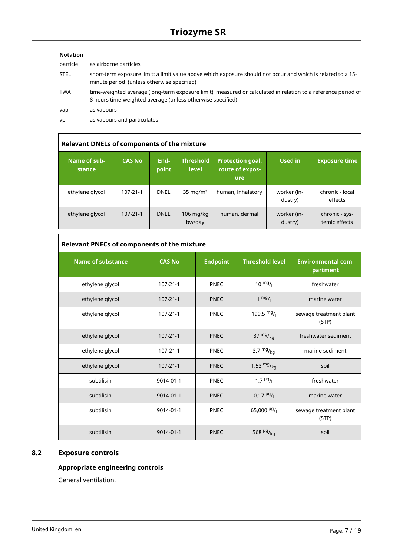## **Notation**

r

| particle    | as airborne particles                                                                                                                                                       |
|-------------|-----------------------------------------------------------------------------------------------------------------------------------------------------------------------------|
| <b>STEL</b> | short-term exposure limit: a limit value above which exposure should not occur and which is related to a 15-<br>minute period (unless otherwise specified)                  |
| <b>TWA</b>  | time-weighted average (long-term exposure limit): measured or calculated in relation to a reference period of<br>8 hours time-weighted average (unless otherwise specified) |
| vap         | as vapours                                                                                                                                                                  |
| vp          | as vapours and particulates                                                                                                                                                 |
|             |                                                                                                                                                                             |

| <b>Relevant DNELs of components of the mixture</b> |                |               |                       |                                                   |                        |                                 |  |  |
|----------------------------------------------------|----------------|---------------|-----------------------|---------------------------------------------------|------------------------|---------------------------------|--|--|
| Name of sub-<br>stance                             | <b>CAS No</b>  | End-<br>point | Threshold<br>level    | <b>Protection goal,</b><br>route of expos-<br>ure | Used in                | <b>Exposure time</b>            |  |  |
| ethylene glycol                                    | 107-21-1       | <b>DNEL</b>   | $35 \text{ mg/m}^3$   | human, inhalatory                                 | worker (in-<br>dustry) | chronic - local<br>effects      |  |  |
| ethylene glycol                                    | $107 - 21 - 1$ | <b>DNEL</b>   | $106$ mg/kg<br>bw/day | human, dermal                                     | worker (in-<br>dustry) | chronic - sys-<br>temic effects |  |  |

# **Relevant PNECs of components of the mixture**

| <b>Name of substance</b> | <b>CAS No</b>  | <b>Endpoint</b> | <b>Threshold level</b>     | <b>Environmental com-</b><br>partment |
|--------------------------|----------------|-----------------|----------------------------|---------------------------------------|
| ethylene glycol          | 107-21-1       | <b>PNEC</b>     | $10^{mg}$ /                | freshwater                            |
| ethylene glycol          | $107 - 21 - 1$ | <b>PNEC</b>     | $1 \frac{mg}{l}$           | marine water                          |
| ethylene glycol          | $107 - 21 - 1$ | <b>PNEC</b>     | 199.5 $mg/1$               | sewage treatment plant<br>(STP)       |
| ethylene glycol          | $107 - 21 - 1$ | <b>PNEC</b>     | 37 $mg/_{kq}$              | freshwater sediment                   |
| ethylene glycol          | $107 - 21 - 1$ | <b>PNEC</b>     | 3.7 $mg/kq$                | marine sediment                       |
| ethylene glycol          | $107 - 21 - 1$ | <b>PNEC</b>     | 1.53 $mg/_{kq}$            | soil                                  |
| subtilisin               | 9014-01-1      | <b>PNEC</b>     | $1.7 \frac{\mu g}{I}$      | freshwater                            |
| subtilisin               | 9014-01-1      | <b>PNEC</b>     | $0.17 \frac{\mu g}{I}$     | marine water                          |
| subtilisin               | 9014-01-1      | <b>PNEC</b>     | 65,000 $\frac{\mu g}{\mu}$ | sewage treatment plant<br>(STP)       |
| subtilisin               | 9014-01-1      | <b>PNEC</b>     | 568 µg/ <sub>kg</sub>      | soil                                  |

## **8.2 Exposure controls**

## **Appropriate engineering controls**

General ventilation.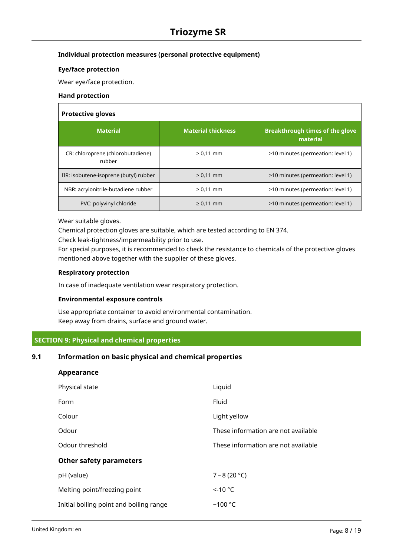## **Individual protection measures (personal protective equipment)**

## **Eye/face protection**

Wear eye/face protection.

#### **Hand protection**

## **Protective gloves**

| <b>Material</b>                             | <b>Material thickness</b> | <b>Breakthrough times of the glove</b><br>material |  |  |  |  |  |  |
|---------------------------------------------|---------------------------|----------------------------------------------------|--|--|--|--|--|--|
| CR: chloroprene (chlorobutadiene)<br>rubber | $\geq 0.11$ mm            | >10 minutes (permeation: level 1)                  |  |  |  |  |  |  |
| IIR: isobutene-isoprene (butyl) rubber      | $\geq 0.11$ mm            | >10 minutes (permeation: level 1)                  |  |  |  |  |  |  |
| NBR: acrylonitrile-butadiene rubber         | $\geq 0.11$ mm            | >10 minutes (permeation: level 1)                  |  |  |  |  |  |  |
| PVC: polyvinyl chloride                     | $\geq 0.11$ mm            | >10 minutes (permeation: level 1)                  |  |  |  |  |  |  |

Wear suitable gloves.

Chemical protection gloves are suitable, which are tested according to EN 374.

Check leak-tightness/impermeability prior to use.

For special purposes, it is recommended to check the resistance to chemicals of the protective gloves mentioned above together with the supplier of these gloves.

## **Respiratory protection**

In case of inadequate ventilation wear respiratory protection.

## **Environmental exposure controls**

Use appropriate container to avoid environmental contamination. Keep away from drains, surface and ground water.

## **SECTION 9: Physical and chemical properties**

## **9.1 Information on basic physical and chemical properties**

| Appearance                              |                                     |
|-----------------------------------------|-------------------------------------|
| Physical state                          | Liquid                              |
| Form                                    | Fluid                               |
| Colour                                  | Light yellow                        |
| Odour                                   | These information are not available |
| Odour threshold                         | These information are not available |
| <b>Other safety parameters</b>          |                                     |
| pH (value)                              | $7 - 8(20 °C)$                      |
| Melting point/freezing point            | $<$ -10 °C                          |
| Initial boiling point and boiling range | $~100$ °C                           |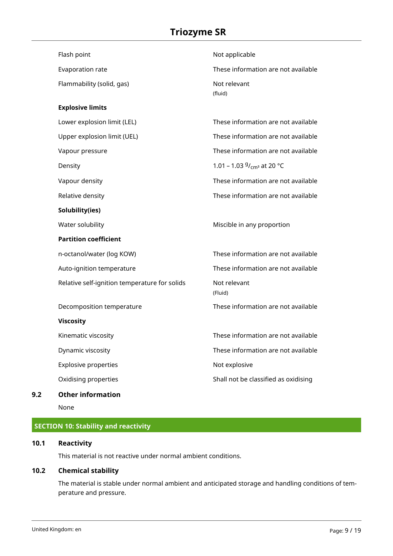| Flash point                                   | Not applicable                       |
|-----------------------------------------------|--------------------------------------|
| Evaporation rate                              | These information are not available  |
| Flammability (solid, gas)                     | Not relevant<br>(fluid)              |
| <b>Explosive limits</b>                       |                                      |
| Lower explosion limit (LEL)                   | These information are not available  |
| Upper explosion limit (UEL)                   | These information are not available  |
| Vapour pressure                               | These information are not available  |
| Density                                       | 1.01 – 1.03 $9/_{cm^3}$ at 20 °C     |
| Vapour density                                | These information are not available  |
| Relative density                              | These information are not available  |
| Solubility(ies)                               |                                      |
| Water solubility                              | Miscible in any proportion           |
| <b>Partition coefficient</b>                  |                                      |
| n-octanol/water (log KOW)                     | These information are not available  |
| Auto-ignition temperature                     | These information are not available  |
| Relative self-ignition temperature for solids | Not relevant<br>(Fluid)              |
| Decomposition temperature                     | These information are not available  |
| <b>Viscosity</b>                              |                                      |
| Kinematic viscosity                           | These information are not available  |
| Dynamic viscosity                             | These information are not available  |
| Explosive properties                          | Not explosive                        |
| Oxidising properties                          | Shall not be classified as oxidising |
|                                               |                                      |

## **9.2 Other information**

None

# **SECTION 10: Stability and reactivity**

## **10.1 Reactivity**

This material is not reactive under normal ambient conditions.

## **10.2 Chemical stability**

The material is stable under normal ambient and anticipated storage and handling conditions of temperature and pressure.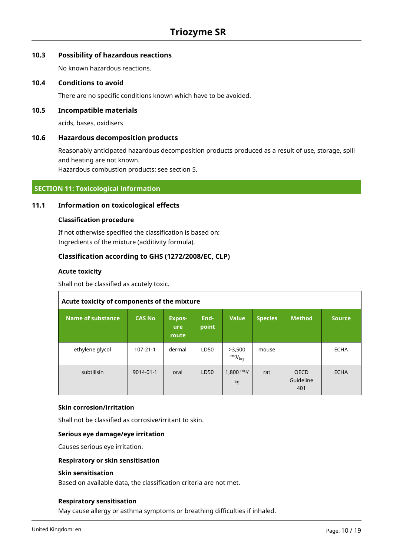## **10.3 Possibility of hazardous reactions**

No known hazardous reactions.

## **10.4 Conditions to avoid**

There are no specific conditions known which have to be avoided.

## **10.5 Incompatible materials**

acids, bases, oxidisers

#### **10.6 Hazardous decomposition products**

Reasonably anticipated hazardous decomposition products produced as a result of use, storage, spill and heating are not known.

Hazardous combustion products: see section 5.

## **SECTION 11: Toxicological information**

#### **11.1 Information on toxicological effects**

#### **Classification procedure**

If not otherwise specified the classification is based on: Ingredients of the mixture (additivity formula).

## **Classification according to GHS (1272/2008/EC, CLP)**

### **Acute toxicity**

Shall not be classified as acutely toxic.

| Acute toxicity of components of the mixture |                |                                      |               |                          |                |                                 |               |
|---------------------------------------------|----------------|--------------------------------------|---------------|--------------------------|----------------|---------------------------------|---------------|
| Name of substance                           | <b>CAS No</b>  | <b>Expos-</b><br><b>ure</b><br>route | End-<br>point | <b>Value</b>             | <b>Species</b> | <b>Method</b>                   | <b>Source</b> |
| ethylene glycol                             | $107 - 21 - 1$ | dermal                               | LD50          | >3,500<br>mg/kq          | mouse          |                                 | <b>ECHA</b>   |
| subtilisin                                  | 9014-01-1      | oral                                 | LD50          | $1,800 \text{ mg}$<br>kg | rat            | <b>OECD</b><br>Guideline<br>401 | <b>ECHA</b>   |

#### **Skin corrosion/irritation**

Shall not be classified as corrosive/irritant to skin.

#### **Serious eye damage/eye irritation**

Causes serious eye irritation.

#### **Respiratory or skin sensitisation**

#### **Skin sensitisation**

Based on available data, the classification criteria are not met.

#### **Respiratory sensitisation**

May cause allergy or asthma symptoms or breathing difficulties if inhaled.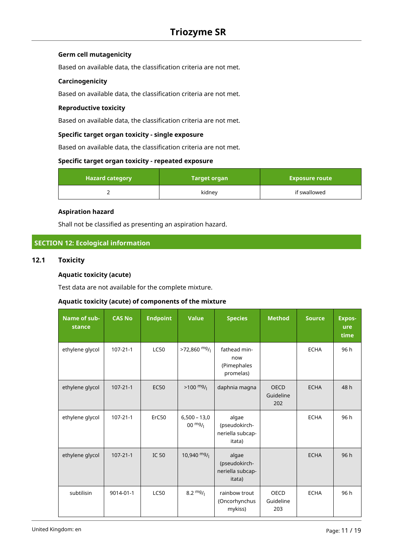## **Germ cell mutagenicity**

Based on available data, the classification criteria are not met.

## **Carcinogenicity**

Based on available data, the classification criteria are not met.

## **Reproductive toxicity**

Based on available data, the classification criteria are not met.

## **Specific target organ toxicity - single exposure**

Based on available data, the classification criteria are not met.

## **Specific target organ toxicity - repeated exposure**

| <b>Hazard category</b> | <b>Target organ</b> | <b>Exposure route</b> |
|------------------------|---------------------|-----------------------|
|                        | kidney              | if swallowed          |

#### **Aspiration hazard**

Shall not be classified as presenting an aspiration hazard.

## **SECTION 12: Ecological information**

## **12.1 Toxicity**

## **Aquatic toxicity (acute)**

Test data are not available for the complete mixture.

## **Aquatic toxicity (acute) of components of the mixture**

| Name of sub-<br>stance | <b>CAS No</b>  | <b>Endpoint</b> | <b>Value</b>                        | <b>Species</b>                                       | <b>Method</b>                   | <b>Source</b> | <b>Expos-</b><br>ure<br>time |
|------------------------|----------------|-----------------|-------------------------------------|------------------------------------------------------|---------------------------------|---------------|------------------------------|
| ethylene glycol        | $107 - 21 - 1$ | <b>LC50</b>     | $>72,860$ mg/                       | fathead min-<br>now<br>(Pimephales<br>promelas)      |                                 | <b>ECHA</b>   | 96 h                         |
| ethylene glycol        | $107 - 21 - 1$ | <b>EC50</b>     | $>100 \frac{mg}{l}$                 | daphnia magna                                        | <b>OECD</b><br>Guideline<br>202 | <b>ECHA</b>   | 48 h                         |
| ethylene glycol        | $107 - 21 - 1$ | ErC50           | $6,500 - 13,0$<br>$00 \frac{mg}{l}$ | algae<br>(pseudokirch-<br>neriella subcap-<br>itata) |                                 | <b>ECHA</b>   | 96 h                         |
| ethylene glycol        | $107 - 21 - 1$ | <b>IC 50</b>    | $10,940$ mg/                        | algae<br>(pseudokirch-<br>neriella subcap-<br>itata) |                                 | <b>ECHA</b>   | 96h                          |
| subtilisin             | 9014-01-1      | <b>LC50</b>     | $8.2 \frac{mg}{l}$                  | rainbow trout<br>(Oncorhynchus<br>mykiss)            | <b>OECD</b><br>Guideline<br>203 | <b>ECHA</b>   | 96 h                         |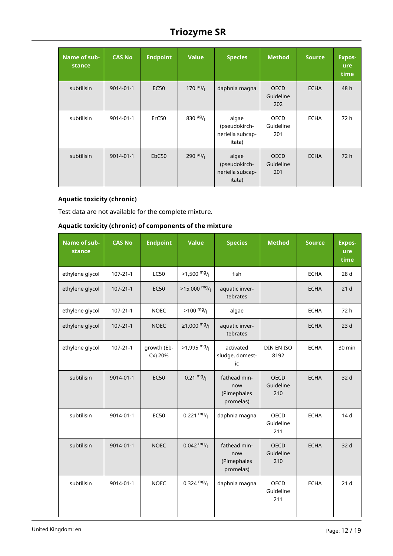| Name of sub-<br>stance | <b>CAS No</b> | <b>Endpoint</b> | <b>Value</b>                       | <b>Species</b>                                       | <b>Method</b>                   | <b>Source</b> | <b>Expos-</b><br>ure<br>time |
|------------------------|---------------|-----------------|------------------------------------|------------------------------------------------------|---------------------------------|---------------|------------------------------|
| subtilisin             | 9014-01-1     | <b>EC50</b>     | $170 \frac{\mu g}{\mu}$            | daphnia magna                                        | <b>OECD</b><br>Guideline<br>202 | <b>ECHA</b>   | 48 h                         |
| subtilisin             | 9014-01-1     | ErC50           | 830 $\mu$ g/                       | algae<br>(pseudokirch-<br>neriella subcap-<br>itata) | <b>OECD</b><br>Guideline<br>201 | <b>ECHA</b>   | 72 h                         |
| subtilisin             | 9014-01-1     | EbC50           | $290$ <sup>µg</sup> / <sub>l</sub> | algae<br>(pseudokirch-<br>neriella subcap-<br>itata) | <b>OECD</b><br>Guideline<br>201 | <b>ECHA</b>   | 72h                          |

## **Aquatic toxicity (chronic)**

Test data are not available for the complete mixture.

## **Aquatic toxicity (chronic) of components of the mixture**

| Name of sub-<br>stance | <b>CAS No</b>  | <b>Endpoint</b>        | <b>Value</b>                        | <b>Species</b>                                  | <b>Method</b>                   | <b>Source</b> | <b>Expos-</b><br>ure<br>time |
|------------------------|----------------|------------------------|-------------------------------------|-------------------------------------------------|---------------------------------|---------------|------------------------------|
| ethylene glycol        | $107 - 21 - 1$ | <b>LC50</b>            | $>1,500$ mg/                        | fish                                            |                                 | <b>ECHA</b>   | 28 d                         |
| ethylene glycol        | $107 - 21 - 1$ | <b>EC50</b>            | $>15,000$ mg/                       | aquatic inver-<br>tebrates                      |                                 | <b>ECHA</b>   | 21 <sub>d</sub>              |
| ethylene glycol        | $107 - 21 - 1$ | <b>NOEC</b>            | $>100$ mg/                          | algae                                           |                                 | <b>ECHA</b>   | 72 h                         |
| ethylene glycol        | $107 - 21 - 1$ | <b>NOEC</b>            | ≥1,000 <sup>mg</sup> / <sub>l</sub> | aquatic inver-<br>tebrates                      |                                 | <b>ECHA</b>   | 23 <sub>d</sub>              |
| ethylene glycol        | $107 - 21 - 1$ | growth (Eb-<br>Cx) 20% | $>1,995$ mg/                        | activated<br>sludge, domest-<br>ic              | DIN EN ISO<br>8192              | <b>ECHA</b>   | 30 min                       |
| subtilisin             | 9014-01-1      | <b>EC50</b>            | $0.21 \frac{mg}{l}$                 | fathead min-<br>now<br>(Pimephales<br>promelas) | <b>OECD</b><br>Guideline<br>210 | <b>ECHA</b>   | 32 d                         |
| subtilisin             | 9014-01-1      | <b>EC50</b>            | $0.221 \frac{mg}{l}$                | daphnia magna                                   | OECD<br>Guideline<br>211        | <b>ECHA</b>   | 14 d                         |
| subtilisin             | 9014-01-1      | <b>NOEC</b>            | $0.042 \frac{mg}{l}$                | fathead min-<br>now<br>(Pimephales<br>promelas) | <b>OECD</b><br>Guideline<br>210 | <b>ECHA</b>   | 32 d                         |
| subtilisin             | 9014-01-1      | <b>NOEC</b>            | $0.324 \text{ mg}/1$                | daphnia magna                                   | <b>OECD</b><br>Guideline<br>211 | <b>ECHA</b>   | 21 <sub>d</sub>              |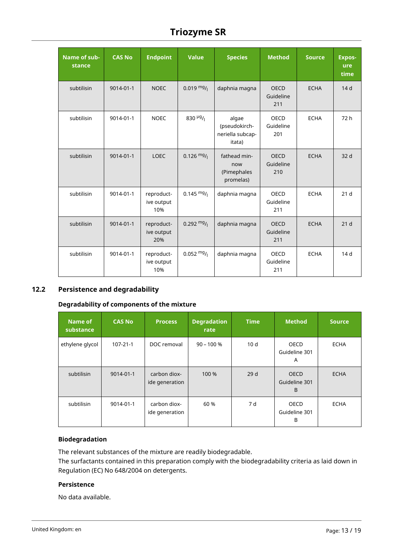| Name of sub-<br>stance | <b>CAS No</b> | <b>Endpoint</b>                 | <b>Value</b>         | <b>Species</b>                                       | <b>Method</b>                   | <b>Source</b> | <b>Expos-</b><br>ure<br>time |
|------------------------|---------------|---------------------------------|----------------------|------------------------------------------------------|---------------------------------|---------------|------------------------------|
| subtilisin             | 9014-01-1     | <b>NOEC</b>                     | $0.019 \frac{mg}{l}$ | daphnia magna                                        | <b>OECD</b><br>Guideline<br>211 | <b>ECHA</b>   | 14 <sub>d</sub>              |
| subtilisin             | 9014-01-1     | <b>NOEC</b>                     | 830 $\mu$ g/         | algae<br>(pseudokirch-<br>neriella subcap-<br>itata) | OECD<br>Guideline<br>201        | <b>ECHA</b>   | 72 h                         |
| subtilisin             | 9014-01-1     | <b>LOEC</b>                     | $0.126$ mg/          | fathead min-<br>now<br>(Pimephales<br>promelas)      | <b>OECD</b><br>Guideline<br>210 | <b>ECHA</b>   | 32 d                         |
| subtilisin             | 9014-01-1     | reproduct-<br>ive output<br>10% | $0.145 \frac{mg}{l}$ | daphnia magna                                        | <b>OECD</b><br>Guideline<br>211 | <b>ECHA</b>   | 21 <sub>d</sub>              |
| subtilisin             | 9014-01-1     | reproduct-<br>ive output<br>20% | $0.292 \frac{mg}{l}$ | daphnia magna                                        | <b>OECD</b><br>Guideline<br>211 | <b>ECHA</b>   | 21 <sub>d</sub>              |
| subtilisin             | 9014-01-1     | reproduct-<br>ive output<br>10% | $0.052 \frac{mg}{l}$ | daphnia magna                                        | <b>OECD</b><br>Guideline<br>211 | <b>ECHA</b>   | 14 d                         |

# **12.2 Persistence and degradability**

## **Degradability of components of the mixture**

| Name of<br>substance | <b>CAS No</b>  | <b>Process</b>                 | <b>Degradation</b><br>rate | <b>Time</b>     | <b>Method</b>                     | <b>Source</b> |
|----------------------|----------------|--------------------------------|----------------------------|-----------------|-----------------------------------|---------------|
| ethylene glycol      | $107 - 21 - 1$ | DOC removal                    | $90 - 100 %$               | 10 <sub>d</sub> | <b>OECD</b><br>Guideline 301<br>A | <b>ECHA</b>   |
| subtilisin           | 9014-01-1      | carbon diox-<br>ide generation | 100 %                      | 29d             | <b>OECD</b><br>Guideline 301<br>B | <b>ECHA</b>   |
| subtilisin           | 9014-01-1      | carbon diox-<br>ide generation | 60 %                       | 7 d             | <b>OECD</b><br>Guideline 301<br>B | <b>ECHA</b>   |

## **Biodegradation**

The relevant substances of the mixture are readily biodegradable.

The surfactants contained in this preparation comply with the biodegradability criteria as laid down in Regulation (EC) No 648/2004 on detergents.

## **Persistence**

No data available.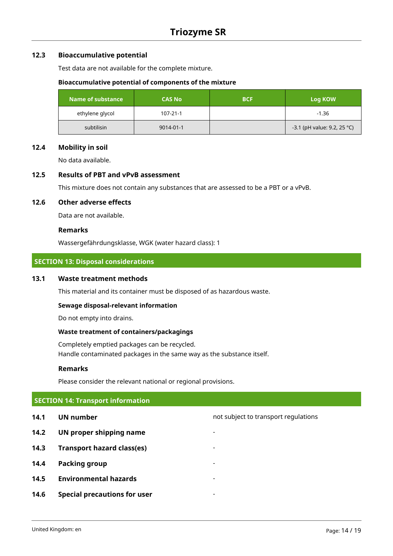## **12.3 Bioaccumulative potential**

Test data are not available for the complete mixture.

#### **Bioaccumulative potential of components of the mixture**

| Name of substance | <b>CAS No</b>  | <b>BCF</b> | Log KOW                       |
|-------------------|----------------|------------|-------------------------------|
| ethylene glycol   | $107 - 21 - 1$ |            | $-1.36$                       |
| subtilisin        | 9014-01-1      |            | $-3.1$ (pH value: 9.2, 25 °C) |

## **12.4 Mobility in soil**

No data available.

## **12.5 Results of PBT and vPvB assessment**

This mixture does not contain any substances that are assessed to be a PBT or a vPvB.

## **12.6 Other adverse effects**

Data are not available.

#### **Remarks**

Wassergefährdungsklasse, WGK (water hazard class): 1

## **SECTION 13: Disposal considerations**

## **13.1 Waste treatment methods**

This material and its container must be disposed of as hazardous waste.

#### **Sewage disposal-relevant information**

Do not empty into drains.

## **Waste treatment of containers/packagings**

Completely emptied packages can be recycled. Handle contaminated packages in the same way as the substance itself.

#### **Remarks**

Please consider the relevant national or regional provisions.

# **SECTION 14: Transport information**

- 
- **14.2 UN proper shipping name**
- **14.3 Transport hazard class(es)** -
- **14.4 Packing group**
- **14.5 Environmental hazards** -
- **14.6 Special precautions for user** -

**14.1 UN number 14.1 UN** number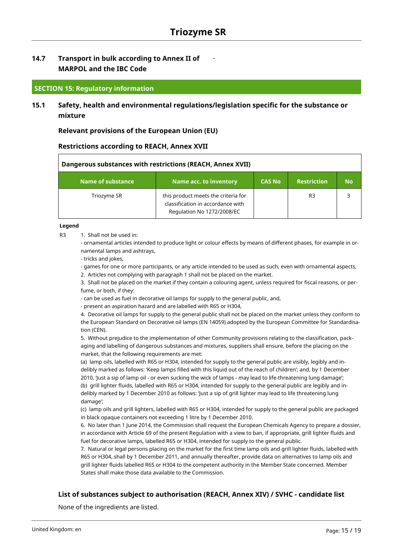-

## **14.7 Transport in bulk according to Annex II of MARPOL and the IBC Code**

## **SECTION 15: Regulatory information**

**15.1 Safety, health and environmental regulations/legislation specific for the substance or mixture**

**Relevant provisions of the European Union (EU)**

## **Restrictions according to REACH, Annex XVII**

| Dangerous substances with restrictions (REACH, Annex XVII) |                                                                                                        |               |                    |           |  |
|------------------------------------------------------------|--------------------------------------------------------------------------------------------------------|---------------|--------------------|-----------|--|
| Name of substance                                          | Name acc. to inventory                                                                                 | <b>CAS No</b> | <b>Restriction</b> | <b>No</b> |  |
| Triozyme SR                                                | this product meets the criteria for<br>classification in accordance with<br>Regulation No 1272/2008/EC |               | R <sub>3</sub>     |           |  |

#### **Legend**

R3 1. Shall not be used in:

- ornamental articles intended to produce light or colour effects by means of different phases, for example in ornamental lamps and ashtrays,

- tricks and jokes,

- games for one or more participants, or any article intended to be used as such, even with ornamental aspects,

2. Articles not complying with paragraph 1 shall not be placed on the market.

3. Shall not be placed on the market if they contain a colouring agent, unless required for fiscal reasons, or perfume, or both, if they:

- can be used as fuel in decorative oil lamps for supply to the general public, and,

- present an aspiration hazard and are labelled with R65 or H304,

4. Decorative oil lamps for supply to the general public shall not be placed on the market unless they conform to the European Standard on Decorative oil lamps (EN 14059) adopted by the European Committee for Standardisation (CEN).

5. Without prejudice to the implementation of other Community provisions relating to the classification, packaging and labelling of dangerous substances and mixtures, suppliers shall ensure, before the placing on the market, that the following requirements are met:

(a) lamp oils, labelled with R65 or H304, intended for supply to the general public are visibly, legibly and indelibly marked as follows: 'Keep lamps filled with this liquid out of the reach of children'; and, by 1 December 2010, 'Just a sip of lamp oil - or even sucking the wick of lamps - may lead to life-threatening lung damage'; (b) grill lighter fluids, labelled with R65 or H304, intended for supply to the general public are legibly and indelibly marked by 1 December 2010 as follows: 'Just a sip of grill lighter may lead to life threatening lung damage';

(c) lamp oils and grill lighters, labelled with R65 or H304, intended for supply to the general public are packaged in black opaque containers not exceeding 1 litre by 1 December 2010.

6. No later than 1 June 2014, the Commission shall request the European Chemicals Agency to prepare a dossier, in accordance with Article 69 of the present Regulation with a view to ban, if appropriate, grill lighter fluids and fuel for decorative lamps, labelled R65 or H304, intended for supply to the general public.

7. Natural or legal persons placing on the market for the first time lamp oils and grill lighter fluids, labelled with R65 or H304, shall by 1 December 2011, and annually thereafter, provide data on alternatives to lamp oils and grill lighter fluids labelled R65 or H304 to the competent authority in the Member State concerned. Member States shall make those data available to the Commission.

## **List of substances subject to authorisation (REACH, Annex XIV) / SVHC - candidate list**

None of the ingredients are listed.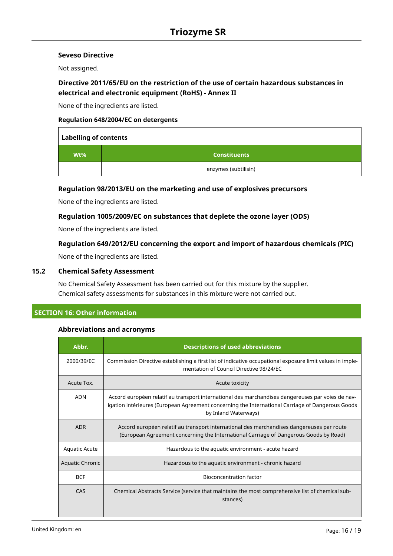## **Seveso Directive**

Not assigned.

## **Directive 2011/65/EU on the restriction of the use of certain hazardous substances in electrical and electronic equipment (RoHS) - Annex II**

None of the ingredients are listed.

## **Regulation 648/2004/EC on detergents**

| <b>Labelling of contents</b> |                      |  |  |  |
|------------------------------|----------------------|--|--|--|
| $Wt\%$                       | <b>Constituents</b>  |  |  |  |
|                              | enzymes (subtilisin) |  |  |  |

## **Regulation 98/2013/EU on the marketing and use of explosives precursors**

None of the ingredients are listed.

## **Regulation 1005/2009/EC on substances that deplete the ozone layer (ODS)**

None of the ingredients are listed.

## **Regulation 649/2012/EU concerning the export and import of hazardous chemicals (PIC)**

None of the ingredients are listed.

## **15.2 Chemical Safety Assessment**

No Chemical Safety Assessment has been carried out for this mixture by the supplier. Chemical safety assessments for substances in this mixture were not carried out.

## **SECTION 16: Other information**

## **Abbreviations and acronyms**

| Abbr.                  | <b>Descriptions of used abbreviations</b>                                                                                                                                                                                     |
|------------------------|-------------------------------------------------------------------------------------------------------------------------------------------------------------------------------------------------------------------------------|
| 2000/39/EC             | Commission Directive establishing a first list of indicative occupational exposure limit values in imple-<br>mentation of Council Directive 98/24/EC                                                                          |
| Acute Tox.             | Acute toxicity                                                                                                                                                                                                                |
| <b>ADN</b>             | Accord européen relatif au transport international des marchandises dangereuses par voies de nav-<br>igation intérieures (European Agreement concerning the International Carriage of Dangerous Goods<br>by Inland Waterways) |
| <b>ADR</b>             | Accord européen relatif au transport international des marchandises dangereuses par route<br>(European Agreement concerning the International Carriage of Dangerous Goods by Road)                                            |
| <b>Aquatic Acute</b>   | Hazardous to the aquatic environment - acute hazard                                                                                                                                                                           |
| <b>Aquatic Chronic</b> | Hazardous to the aquatic environment - chronic hazard                                                                                                                                                                         |
| <b>BCF</b>             | <b>Bioconcentration factor</b>                                                                                                                                                                                                |
| CAS                    | Chemical Abstracts Service (service that maintains the most comprehensive list of chemical sub-<br>stances)                                                                                                                   |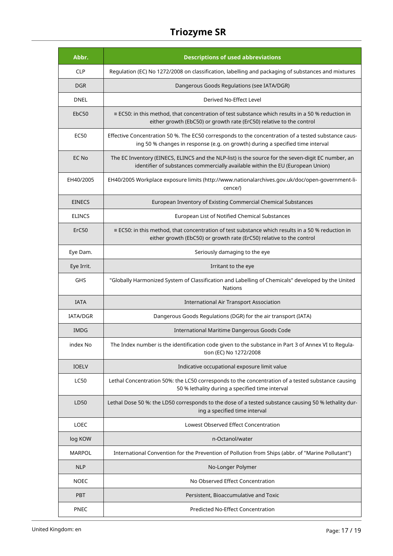| Abbr.         | <b>Descriptions of used abbreviations</b>                                                                                                                                             |
|---------------|---------------------------------------------------------------------------------------------------------------------------------------------------------------------------------------|
| <b>CLP</b>    | Regulation (EC) No 1272/2008 on classification, labelling and packaging of substances and mixtures                                                                                    |
| <b>DGR</b>    | Dangerous Goods Regulations (see IATA/DGR)                                                                                                                                            |
| DNEL          | Derived No-Effect Level                                                                                                                                                               |
| EbC50         | $\equiv$ EC50: in this method, that concentration of test substance which results in a 50 % reduction in<br>either growth (EbC50) or growth rate (ErC50) relative to the control      |
| <b>EC50</b>   | Effective Concentration 50 %. The EC50 corresponds to the concentration of a tested substance caus-<br>ing 50 % changes in response (e.g. on growth) during a specified time interval |
| EC No         | The EC Inventory (EINECS, ELINCS and the NLP-list) is the source for the seven-digit EC number, an<br>identifier of substances commercially available within the EU (European Union)  |
| EH40/2005     | EH40/2005 Workplace exposure limits (http://www.nationalarchives.gov.uk/doc/open-government-li-<br>cence/)                                                                            |
| <b>EINECS</b> | European Inventory of Existing Commercial Chemical Substances                                                                                                                         |
| <b>ELINCS</b> | European List of Notified Chemical Substances                                                                                                                                         |
| ErC50         | $\equiv$ EC50: in this method, that concentration of test substance which results in a 50 % reduction in<br>either growth (EbC50) or growth rate (ErC50) relative to the control      |
| Eye Dam.      | Seriously damaging to the eye                                                                                                                                                         |
| Eye Irrit.    | Irritant to the eye                                                                                                                                                                   |
| <b>GHS</b>    | "Globally Harmonized System of Classification and Labelling of Chemicals" developed by the United<br>Nations                                                                          |
| <b>IATA</b>   | International Air Transport Association                                                                                                                                               |
| IATA/DGR      | Dangerous Goods Regulations (DGR) for the air transport (IATA)                                                                                                                        |
| <b>IMDG</b>   | International Maritime Dangerous Goods Code                                                                                                                                           |
| index No      | The Index number is the identification code given to the substance in Part 3 of Annex VI to Regula-<br>tion (EC) No 1272/2008                                                         |
| <b>IOELV</b>  | Indicative occupational exposure limit value                                                                                                                                          |
| <b>LC50</b>   | Lethal Concentration 50%: the LC50 corresponds to the concentration of a tested substance causing<br>50 % lethality during a specified time interval                                  |
| LD50          | Lethal Dose 50 %: the LD50 corresponds to the dose of a tested substance causing 50 % lethality dur-<br>ing a specified time interval                                                 |
| <b>LOEC</b>   | Lowest Observed Effect Concentration                                                                                                                                                  |
| log KOW       | n-Octanol/water                                                                                                                                                                       |
| <b>MARPOL</b> | International Convention for the Prevention of Pollution from Ships (abbr. of "Marine Pollutant")                                                                                     |
| <b>NLP</b>    | No-Longer Polymer                                                                                                                                                                     |
| <b>NOEC</b>   | No Observed Effect Concentration                                                                                                                                                      |
| <b>PBT</b>    | Persistent, Bioaccumulative and Toxic                                                                                                                                                 |
| PNEC          | Predicted No-Effect Concentration                                                                                                                                                     |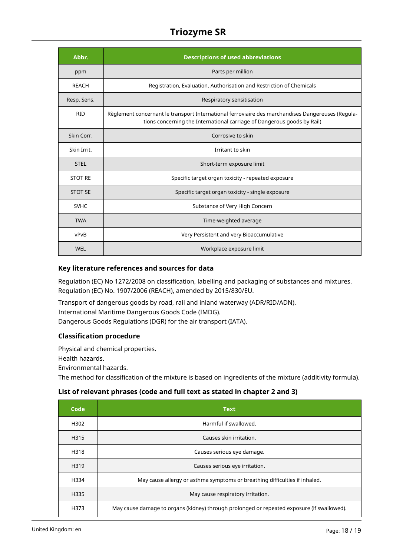| Abbr.          | <b>Descriptions of used abbreviations</b>                                                                                                                                    |
|----------------|------------------------------------------------------------------------------------------------------------------------------------------------------------------------------|
| ppm            | Parts per million                                                                                                                                                            |
| <b>REACH</b>   | Registration, Evaluation, Authorisation and Restriction of Chemicals                                                                                                         |
| Resp. Sens.    | Respiratory sensitisation                                                                                                                                                    |
| <b>RID</b>     | Règlement concernant le transport International ferroviaire des marchandises Dangereuses (Regula-<br>tions concerning the International carriage of Dangerous goods by Rail) |
| Skin Corr.     | Corrosive to skin                                                                                                                                                            |
| Skin Irrit.    | Irritant to skin                                                                                                                                                             |
| <b>STEL</b>    | Short-term exposure limit                                                                                                                                                    |
| <b>STOT RE</b> | Specific target organ toxicity - repeated exposure                                                                                                                           |
| <b>STOT SE</b> | Specific target organ toxicity - single exposure                                                                                                                             |
| <b>SVHC</b>    | Substance of Very High Concern                                                                                                                                               |
| <b>TWA</b>     | Time-weighted average                                                                                                                                                        |
| vPvB           | Very Persistent and very Bioaccumulative                                                                                                                                     |
| <b>WEL</b>     | Workplace exposure limit                                                                                                                                                     |

## **Key literature references and sources for data**

Regulation (EC) No 1272/2008 on classification, labelling and packaging of substances and mixtures. Regulation (EC) No. 1907/2006 (REACH), amended by 2015/830/EU.

Transport of dangerous goods by road, rail and inland waterway (ADR/RID/ADN). International Maritime Dangerous Goods Code (IMDG). Dangerous Goods Regulations (DGR) for the air transport (IATA).

## **Classification procedure**

Physical and chemical properties.

Health hazards.

Environmental hazards.

The method for classification of the mixture is based on ingredients of the mixture (additivity formula).

## **List of relevant phrases (code and full text as stated in chapter 2 and 3)**

| Code | <b>Text</b>                                                                                |
|------|--------------------------------------------------------------------------------------------|
| H302 | Harmful if swallowed.                                                                      |
| H315 | Causes skin irritation.                                                                    |
| H318 | Causes serious eye damage.                                                                 |
| H319 | Causes serious eye irritation.                                                             |
| H334 | May cause allergy or asthma symptoms or breathing difficulties if inhaled.                 |
| H335 | May cause respiratory irritation.                                                          |
| H373 | May cause damage to organs (kidney) through prolonged or repeated exposure (if swallowed). |